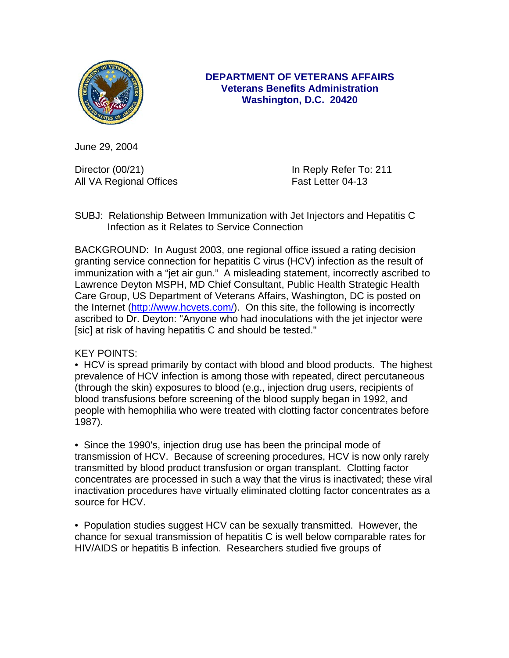

## **DEPARTMENT OF VETERANS AFFAIRS Veterans Benefits Administration Washington, D.C. 20420**

June 29, 2004

Director (00/21) and Director (00/21) and Director (00/21) All VA Regional Offices **Fast Letter 04-13** 

SUBJ: Relationship Between Immunization with Jet Injectors and Hepatitis C Infection as it Relates to Service Connection

BACKGROUND: In August 2003, one regional office issued a rating decision granting service connection for hepatitis C virus (HCV) infection as the result of immunization with a "jet air gun." A misleading statement, incorrectly ascribed to Lawrence Deyton MSPH, MD Chief Consultant, Public Health Strategic Health Care Group, US Department of Veterans Affairs, Washington, DC is posted on the Internet [\(http://www.hcvets.com/](http://www.hcvets.com/)). On this site, the following is incorrectly ascribed to Dr. Deyton: "Anyone who had inoculations with the jet injector were [sic] at risk of having hepatitis C and should be tested."

## KEY POINTS:

• HCV is spread primarily by contact with blood and blood products. The highest prevalence of HCV infection is among those with repeated, direct percutaneous (through the skin) exposures to blood (e.g., injection drug users, recipients of blood transfusions before screening of the blood supply began in 1992, and people with hemophilia who were treated with clotting factor concentrates before 1987).

• Since the 1990's, injection drug use has been the principal mode of transmission of HCV. Because of screening procedures, HCV is now only rarely transmitted by blood product transfusion or organ transplant. Clotting factor concentrates are processed in such a way that the virus is inactivated; these viral inactivation procedures have virtually eliminated clotting factor concentrates as a source for HCV.

• Population studies suggest HCV can be sexually transmitted. However, the chance for sexual transmission of hepatitis C is well below comparable rates for HIV/AIDS or hepatitis B infection. Researchers studied five groups of